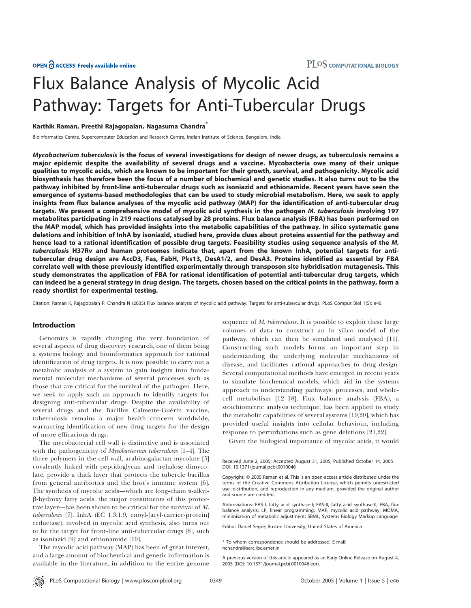# Flux Balance Analysis of Mycolic Acid Pathway: Targets for Anti-Tubercular Drugs

# Karthik Raman, Preethi Rajagopalan, Nagasuma Chandra<sup>\*</sup>

Bioinformatics Centre, Supercomputer Education and Research Centre, Indian Institute of Science, Bangalore, India

Mycobacterium tuberculosis is the focus of several investigations for design of newer drugs, as tuberculosis remains a major epidemic despite the availability of several drugs and a vaccine. Mycobacteria owe many of their unique qualities to mycolic acids, which are known to be important for their growth, survival, and pathogenicity. Mycolic acid biosynthesis has therefore been the focus of a number of biochemical and genetic studies. It also turns out to be the pathway inhibited by front-line anti-tubercular drugs such as isoniazid and ethionamide. Recent years have seen the emergence of systems-based methodologies that can be used to study microbial metabolism. Here, we seek to apply insights from flux balance analyses of the mycolic acid pathway (MAP) for the identification of anti-tubercular drug targets. We present a comprehensive model of mycolic acid synthesis in the pathogen M. tuberculosis involving 197 metabolites participating in 219 reactions catalysed by 28 proteins. Flux balance analysis (FBA) has been performed on the MAP model, which has provided insights into the metabolic capabilities of the pathway. In silico systematic gene deletions and inhibition of InhA by isoniazid, studied here, provide clues about proteins essential for the pathway and hence lead to a rational identification of possible drug targets. Feasibility studies using sequence analysis of the M. tuberculosis H37Rv and human proteomes indicate that, apart from the known InhA, potential targets for antitubercular drug design are AccD3, Fas, FabH, Pks13, DesA1/2, and DesA3. Proteins identified as essential by FBA correlate well with those previously identified experimentally through transposon site hybridisation mutagenesis. This study demonstrates the application of FBA for rational identification of potential anti-tubercular drug targets, which can indeed be a general strategy in drug design. The targets, chosen based on the critical points in the pathway, form a ready shortlist for experimental testing.

Citation: Raman K, Rajagopalan P, Chandra N (2005) Flux balance analysis of mycolic acid pathway: Targets for anti-tubercular drugs. PLoS Comput Biol 1(5): e46.

# Introduction

Genomics is rapidly changing the very foundation of several aspects of drug discovery research, one of them being a systems biology and bioinformatics approach for rational identification of drug targets. It is now possible to carry out a metabolic analysis of a system to gain insights into fundamental molecular mechanisms of several processes such as those that are critical for the survival of the pathogen. Here, we seek to apply such an approach to identify targets for designing anti-tubercular drugs. Despite the availability of several drugs and the Bacillus Calmette-Guérin vaccine, tuberculosis remains a major health concern worldwide, warranting identification of new drug targets for the design of more efficacious drugs.

The mycobacterial cell wall is distinctive and is associated with the pathogenicity of Mycobacterium tuberculosis [1-4]. The three polymers in the cell wall, arabinogalactan-mycolate [5] covalently linked with peptidoglycan and trehalose dimycolate, provide a thick layer that protects the tubercle bacillus from general antibiotics and the host's immune system [6]. The synthesis of mycolic acids—which are long-chain  $\alpha$ -alkylb-hydroxy fatty acids, the major constituents of this protective layer—has been shown to be critical for the survival of M. tuberculosis [7]. InhA (EC 1.3.1.9, enoyl-[acyl-carrier-protein] reductase), involved in mycolic acid synthesis, also turns out to be the target for front-line anti-tubercular drugs [8], such as isoniazid [9] and ethionamide [10].

The mycolic acid pathway (MAP) has been of great interest, and a large amount of biochemical and genetic information is available in the literature, in addition to the entire genome

sequence of *M. tuberculosis*. It is possible to exploit these large volumes of data to construct an in silico model of the pathway, which can then be simulated and analysed [11]. Constructing such models forms an important step in understanding the underlying molecular mechanisms of disease, and facilitates rational approaches to drug design. Several computational methods have emerged in recent years to simulate biochemical models, which aid in the systems approach to understanding pathways, processes, and wholecell metabolism [12–18]. Flux balance analysis (FBA), a stoichiometric analysis technique, has been applied to study the metabolic capabilities of several systems [19,20], which has provided useful insights into cellular behaviour, including response to perturbations such as gene deletions [21,22].

Given the biological importance of mycolic acids, it would

Abbreviations: FAS-I, fatty acid synthase-I; FAS-II, fatty acid synthase-II; FBA, flux balance analysis; LP, linear programming; MAP, mycolic acid pathway; MOMA, minimisation of metabolic adjustment; SBML, Systems Biology Markup Language

Editor: Daniel Segre, Boston University, United States of America

\* To whom correspondence should be addressed. E-mail: nchandra@serc.iisc.ernet.in

A previous version of this article appeared as an Early Online Release on August 4, 2005 (DOI: 10.1371/journal.pcbi.0010046.eor).

Received June 2, 2005; Accepted August 31, 2005; Published October 14, 2005 DOI: 10.1371/journal.pcbi.0010046

Copyright: © 2005 Raman et al. This is an open-access article distributed under the terms of the Creative Commons Attribution License, which permits unrestricted use, distribution, and reproduction in any medium, provided the original author and source are credited.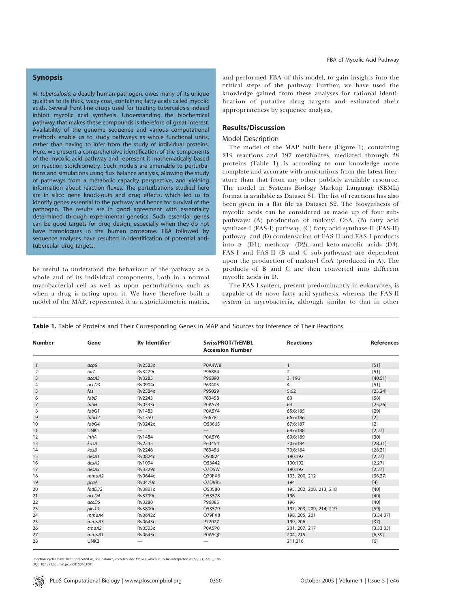# Synopsis

M. tuberculosis, a deadly human pathogen, owes many of its unique qualities to its thick, waxy coat, containing fatty acids called mycolic acids. Several front-line drugs used for treating tuberculosis indeed inhibit mycolic acid synthesis. Understanding the biochemical pathway that makes these compounds is therefore of great interest. Availability of the genome sequence and various computational methods enable us to study pathways as whole functional units, rather than having to infer from the study of individual proteins. Here, we present a comprehensive identification of the components of the mycolic acid pathway and represent it mathematically based on reaction stoichiometry. Such models are amenable to perturbations and simulations using flux balance analysis, allowing the study of pathways from a metabolic capacity perspective, and yielding information about reaction fluxes. The perturbations studied here are in silico gene knock-outs and drug effects, which led us to identify genes essential to the pathway and hence for survival of the pathogen. The results are in good agreement with essentiality determined through experimental genetics. Such essential genes can be good targets for drug design, especially when they do not have homologues in the human proteome. FBA followed by sequence analyses have resulted in identification of potential antitubercular drug targets.

be useful to understand the behaviour of the pathway as a whole and of its individual components, both in a normal mycobacterial cell as well as upon perturbations, such as when a drug is acting upon it. We have therefore built a model of the MAP, represented it as a stoichiometric matrix,

and performed FBA of this model, to gain insights into the critical steps of the pathway. Further, we have used the knowledge gained from these analyses for rational identification of putative drug targets and estimated their appropriateness by sequence analysis.

# Results/Discussion

#### Model Description

The model of the MAP built here (Figure 1), containing 219 reactions and 197 metabolites, mediated through 28 proteins (Table 1), is according to our knowledge more complete and accurate with annotations from the latest literature than that from any other publicly available resource. The model in Systems Biology Markup Language (SBML) format is available as Dataset S1. The list of reactions has also been given in a flat file as Dataset S2. The biosynthesis of mycolic acids can be considered as made up of four subpathways: (A) production of malonyl CoA, (B) fatty acid synthase-I (FAS-I) pathway, (C) fatty acid synthase-II (FAS-II) pathway, and (D) condensation of FAS-II and FAS-I products into  $\alpha$ - (D1), methoxy- (D2), and keto-mycolic acids (D3). FAS-I and FAS-II (B and C sub-pathways) are dependent upon the production of malonyl CoA (produced in A). The products of B and C are then converted into different mycolic acids in D.

The FAS-I system, present predominantly in eukaryotes, is capable of de novo fatty acid synthesis, whereas the FAS-II system in mycobacteria, although similar to that in other

Table 1. Table of Proteins and Their Corresponding Genes in MAP and Sources for Inference of Their Reactions

| <b>Number</b>  | Gene             | <b>Rv Identifier</b>     | SwissPROT/TrEMBL<br><b>Accession Number</b> | <b>Reactions</b>        | <b>References</b> |
|----------------|------------------|--------------------------|---------------------------------------------|-------------------------|-------------------|
|                |                  |                          |                                             |                         |                   |
| $\mathbf{1}$   | acpS             | <b>Rv2523c</b>           | P0A4W8                                      | $\mathbf{1}$            | [51]              |
| 2              | birA             | <b>Rv3279c</b>           | P96884                                      | $\overline{2}$          | $[51]$            |
| 3              | accA3            | <b>Rv3285</b>            | P96890                                      | 3, 196                  | [40, 51]          |
| 4              | accD3            | <b>Rv0904c</b>           | P63405                                      | 4                       | $[51]$            |
| 5              | fas              | <b>Rv2524c</b>           | P95029                                      | 5:62                    | [23, 24]          |
| 6              | fabD             | Rv2243                   | P63458                                      | 63                      | $[58]$            |
| $\overline{7}$ | fabH             | <b>Rv0533c</b>           | P0A574                                      | 64                      | [25, 26]          |
| 8              | fabG1            | Rv1483                   | <b>P0A5Y4</b>                               | 65:6:185                | $[29]$            |
| 9              | fabG2            | Rv1350                   | P66781                                      | 66:6:186                | $[2]$             |
| 10             | fabG4            | <b>Rv0242c</b>           | O53665                                      | 67:6:187                | [2]               |
| 11             | UNK1             | $\overline{\phantom{0}}$ | $\overline{\phantom{0}}$                    | 68:6:188                | [2, 27]           |
| 12             | inhA             | Rv1484                   | P0A5Y6                                      | 69:6:189                | $[30]$            |
| 13             | kasA             | Rv2245                   | P63454                                      | 70:6:184                | [28, 31]          |
| 14             | kasB             | Rv2246                   | P63456                                      | 70:6:184                | [28, 31]          |
| 15             | desA1            | <b>Rv0824c</b>           | Q50824                                      | 190:192                 | [2, 27]           |
| 16             | desA2            | Rv1094                   | 053442                                      | 190:192                 | [2, 27]           |
| 17             | desA3            | <b>Rv3229c</b>           | Q7D5W1                                      | 190:192                 | [2, 27]           |
| 18             | mmaA2            | <b>Rv0644c</b>           | O79FX6                                      | 193, 200, 212           | [36, 37]          |
| 19             | pcaA             | <b>Rv0470c</b>           | Q7D9R5                                      | 194                     | $[4]$             |
| 20             | fadD32           | Rv3801c                  | O53580                                      | 195, 202, 208, 213, 218 | $[40]$            |
| 21             | accD4            | <b>Rv3799c</b>           | O53578                                      | 196                     | $[40]$            |
| 22             | accD5            | Rv3280                   | P96885                                      | 196                     | [40]              |
| 23             | pks13            | <b>Rv3800c</b>           | O53579                                      | 197, 203, 209, 214, 219 | $[59]$            |
| 24             | mmaA4            | <b>Rv0642c</b>           | Q79FX8                                      | 198, 205, 201           | [3, 34, 37]       |
| 25             | mmaA3            | <b>Rv0643c</b>           | P72027                                      | 199, 206                | $[37]$            |
| 26             | cmaA2            | <b>Rv0503c</b>           | P0A5P0                                      | 201, 207, 217           | [3, 33, 35]       |
| 27             | mmaA1            | <b>Rv0645c</b>           | P0A5Q0                                      | 204, 215                | [6, 39]           |
| 28             | UNK <sub>2</sub> |                          |                                             | 211,216                 | [6]               |

Reaction cycles have been indicated as, for instance, 65:6:185 (for fabG1), which is to be interpreted as 65, 71, 77, ..., 185. DOI: 10.1371/journal.pcbi.0010046.t001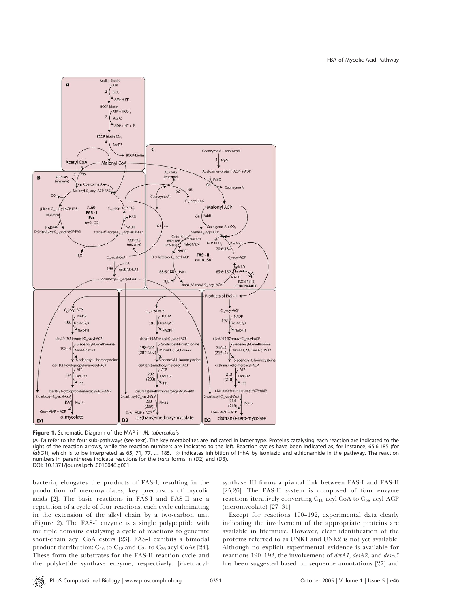

Figure 1. Schematic Diagram of the MAP in M. tuberculosis

(A–D) refer to the four sub-pathways (see text). The key metabolites are indicated in larger type. Proteins catalysing each reaction are indicated to the right of the reaction arrows, while the reaction numbers are indicated to the left. Reaction cycles have been indicated as, for instance, 65:6:185 (for fabG1), which is to be interpreted as 65, 71, 77, …, 185.  $~\otimes$  indicates inhibition of InhA by isoniazid and ethionamide in the pathway. The reaction numbers in parentheses indicate reactions for the *trans* forms in (D2) and (D3). DOI: 10.1371/journal.pcbi.0010046.g001

bacteria, elongates the products of FAS-I, resulting in the production of meromycolates, key precursors of mycolic acids [2]. The basic reactions in FAS-I and FAS-II are a repetition of a cycle of four reactions, each cycle culminating in the extension of the alkyl chain by a two-carbon unit (Figure 2). The FAS-I enzyme is a single polypeptide with multiple domains catalysing a cycle of reactions to generate short-chain acyl CoA esters [23]. FAS-I exhibits a bimodal product distribution:  $C_{16}$  to  $C_{18}$  and  $C_{24}$  to  $C_{26}$  acyl CoAs [24]. These form the substrates for the FAS-II reaction cycle and the polyketide synthase enzyme, respectively.  $\beta$ -ketoacylsynthase III forms a pivotal link between FAS-I and FAS-II [25,26]. The FAS-II system is composed of four enzyme reactions iteratively converting  $C_{16}$ -acyl CoA to  $C_{58}$ -acyl-ACP (meromycolate) [27–31].

Except for reactions 190–192, experimental data clearly indicating the involvement of the appropriate proteins are available in literature. However, clear identification of the proteins referred to as UNK1 and UNK2 is not yet available. Although no explicit experimental evidence is available for reactions 190–192, the involvement of desA1, desA2, and desA3 has been suggested based on sequence annotations [27] and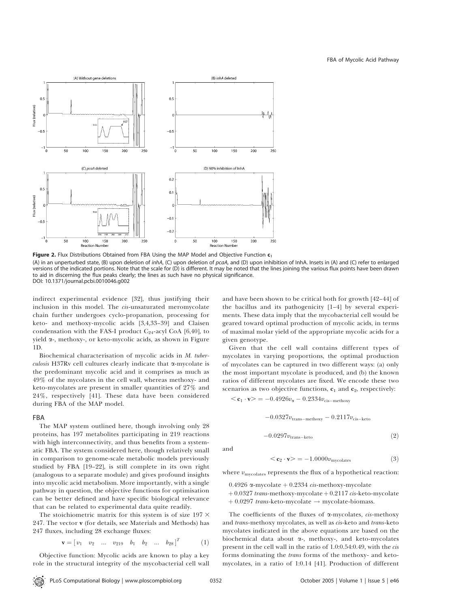

Figure 2. Flux Distributions Obtained from FBA Using the MAP Model and Objective Function  $c_1$ 

(A) in an unperturbed state, (B) upon deletion of *inhA*, (C) upon deletion of pcaA, and (D) upon inhibition of InhA. Insets in (A) and (C) refer to enlarged versions of the indicated portions. Note that the scale for (D) is different. It may be noted that the lines joining the various flux points have been drawn to aid in discerning the flux peaks clearly; the lines as such have no physical significance. DOI: 10.1371/journal.pcbi.0010046.g002

indirect experimental evidence [32], thus justifying their inclusion in this model. The cis-unsaturated meromycolate chain further undergoes cyclo-propanation, processing for keto- and methoxy-mycolic acids [3,4,33–39] and Claisen condensation with the FAS-I product  $C_{24}$ -acyl CoA [6,40], to yield a-, methoxy-, or keto-mycolic acids, as shown in Figure 1D.

Biochemical characterisation of mycolic acids in M. tuber- $\omega$ culosis H37Rv cell cultures clearly indicate that  $\alpha$ -mycolate is the predominant mycolic acid and it comprises as much as 49% of the mycolates in the cell wall, whereas methoxy- and keto-mycolates are present in smaller quantities of 27% and 24%, respectively [41]. These data have been considered during FBA of the MAP model.

## FBA

The MAP system outlined here, though involving only 28 proteins, has 197 metabolites participating in 219 reactions with high interconnectivity, and thus benefits from a systematic FBA. The system considered here, though relatively small in comparison to genome-scale metabolic models previously studied by FBA [19–22], is still complete in its own right (analogous to a separate module) and gives profound insights into mycolic acid metabolism. More importantly, with a single pathway in question, the objective functions for optimisation can be better defined and have specific biological relevance that can be related to experimental data quite readily.

The stoichiometric matrix for this system is of size  $197 \times$ 247. The vector  $\bf{v}$  (for details, see Materials and Methods) has 247 fluxes, including 28 exchange fluxes:

$$
\mathbf{v} = \begin{bmatrix} v_1 & v_2 & \dots & v_{219} & b_1 & b_2 & \dots & b_{28} \end{bmatrix}^T \tag{1}
$$

Objective function: Mycolic acids are known to play a key role in the structural integrity of the mycobacterial cell wall and have been shown to be critical both for growth [42–44] of the bacillus and its pathogenicity [1–4] by several experiments. These data imply that the mycobacterial cell would be geared toward optimal production of mycolic acids, in terms of maximal molar yield of the appropriate mycolic acids for a given genotype.

Given that the cell wall contains different types of mycolates in varying proportions, the optimal production of mycolates can be captured in two different ways: (a) only the most important mycolate is produced, and (b) the known ratios of different mycolates are fixed. We encode these two scenarios as two objective functions,  $c_1$  and  $c_2$ , respectively:

 $\langle \mathbf{c}_1 \cdot \mathbf{v} \rangle = -0.4926v_\alpha - 0.2334v_{\text{cis-methoxy}}$ 

$$
-0.0327vtrans-methoxy - 0.2117vcis-keto
$$
  

$$
-0.0297vtrans-keto
$$
 (2)

and

$$
\langle \mathbf{c}_2 \cdot \mathbf{v} \rangle = -1.0000 v_{\text{mycolates}} \tag{3}
$$

where  $v_{\text{mycolates}}$  represents the flux of a hypothetical reaction:

- 0.4926  $\alpha$ -mycolate + 0.2334 *cis*-methoxy-mycolate
- $+0.0327$  trans-methoxy-mycolate  $+0.2117$  cis-keto-mycolate
- $+0.0297$  trans-keto-mycolate  $\rightarrow$  mycolate-biomass.

The coefficients of the fluxes of  $\alpha$ -mycolates, *cis*-methoxy and trans-methoxy mycolates, as well as cis-keto and trans-keto mycolates indicated in the above equations are based on the biochemical data about  $\alpha$ -, methoxy-, and keto-mycolates present in the cell wall in the ratio of 1.0:0.54:0.49, with the cis forms dominating the trans forms of the methoxy- and ketomycolates, in a ratio of 1:0.14 [41]. Production of different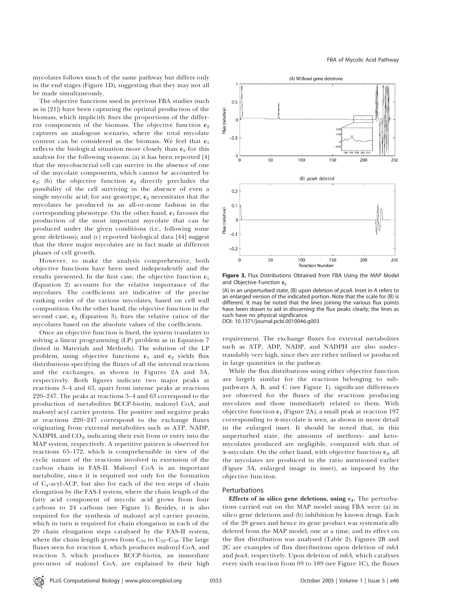mycolates follows much of the same pathway but differs only in the end stages (Figure 1D), suggesting that they may not all be made simultaneously.

The objective functions used in previous FBA studies (such as in [21]) have been capturing the optimal production of the biomass, which implicitly fixes the proportions of the different components of the biomass. The objective function  $c_2$ captures an analogous scenario, where the total mycolate content can be considered as the biomass. We feel that  $c_1$ reflects the biological situation more closely than  $c_2$  for this analysis for the following reasons: (a) it has been reported [4] that the mycobacterial cell can survive in the absence of one of the mycolate components, which cannot be accounted by  $c_2$ ; (b) the objective function  $c_2$  directly precludes the possibility of the cell surviving in the absence of even a single mycolic acid; for any genotype,  $c_2$  necessitates that the mycolates be produced in an all-or-none fashion in the corresponding phenotype. On the other hand,  $c_1$  favours the production of the most important mycolate that can be produced under the given conditions (i.e., following some gene deletions); and (c) reported biological data [44] suggest that the three major mycolates are in fact made at different phases of cell growth.

However, to make the analysis comprehensive, both objective functions have been used independently and the results presented. In the first case, the objective function  $c_1$ (Equation 2) accounts for the relative importance of the mycolates. The coefficients are indicative of the precise ranking order of the various mycolates, based on cell wall composition. On the other hand, the objective function in the second case,  $c_2$  (Equation 3), fixes the relative ratios of the mycolates based on the absolute values of the coefficients.

Once an objective function is fixed, the system translates to solving a linear programming (LP) problem as in Equation 7 (listed in Materials and Methods). The solution of the LP problem, using objective functions  $c_1$  and  $c_2$  yields flux distributions specifying the fluxes of all the internal reactions and the exchanges, as shown in Figures 2A and 3A, respectively. Both figures indicate two major peaks at reactions 3–4 and 63, apart from intense peaks at reactions 220–247. The peaks at reactions 3–4 and 63 correspond to the production of metabolites BCCP-biotin, malonyl CoA, and malonyl acyl carrier protein. The positive and negative peaks at reactions 220–247 correspond to the exchange fluxes originating from external metabolites such as ATP, NADP, NADPH, and CO<sub>2</sub>, indicating their exit from or entry into the MAP system, respectively. A repetitive pattern is observed for reactions 65–172, which is comprehensible in view of the cyclic nature of the reactions involved in extension of the carbon chain in FAS-II. Malonyl CoA is an important metabolite, since it is required not only for the formation of  $C_4$ -acyl-ACP, but also for each of the ten steps of chain elongation by the FAS-I system, where the chain length of the fatty acid component of mycolic acid grows from four carbons to 24 carbons (see Figure 1). Besides, it is also required for the synthesis of malonyl acyl carrier protein, which in turn is required for chain elongation in each of the 20 chain elongation steps catalysed by the FAS-II system, where the chain length grows from  $C_{16}$  to  $C_{52}-C_{58}$ . The large fluxes seen for reaction 4, which produces malonyl CoA, and reaction 3, which produces BCCP-biotin, an immediate precursor of malonyl CoA, are explained by their high



Figure 3. Flux Distributions Obtained from FBA Using the MAP Model and Objective Function  $c_2$ 

(A) in an unperturbed state, (B) upon deletion of pcaA. Inset in A refers to an enlarged version of the indicated portion. Note that the scale for (B) is different. It may be noted that the lines joining the various flux points have been drawn to aid in discerning the flux peaks clearly; the lines as such have no physical significance. DOI: 10.1371/journal.pcbi.0010046.g003

requirement. The exchange fluxes for external metabolites such as ATP, ADP, NADP, and NADPH are also understandably very high, since they are either utilised or produced in large quantities in the pathway.

While the flux distributions using either objective function are largely similar for the reactions belonging to subpathways A, B, and C (see Figure 1), significant differences are observed for the fluxes of the reactions producing mycolates and those immediately related to them. With objective function  $c_1$  (Figure 2A), a small peak at reaction 197 corresponding to  $\alpha$ -mycolate is seen, as shown in more detail in the enlarged inset. It should be noted that, in this unperturbed state, the amounts of methoxy- and ketomycolates produced are negligible, compared with that of  $\alpha$ -mycolate. On the other hand, with objective function  $c_2$ , all the mycolates are produced in the ratio mentioned earlier (Figure 3A, enlarged image in inset), as imposed by the objective function.

## Perturbations

Effects of in silico gene deletions, using  $c_1$ . The perturbations carried out on the MAP model using FBA were (a) in silico gene deletions and (b) inhibition by known drugs. Each of the 28 genes and hence its gene product was systematically deleted from the MAP model, one at a time, and its effect on the flux distribution was analysed (Table 2). Figures 2B and 2C are examples of flux distributions upon deletion of inhA and pcaA, respectively. Upon deletion of inhA, which catalyses every sixth reaction from 69 to 189 (see Figure 1C), the fluxes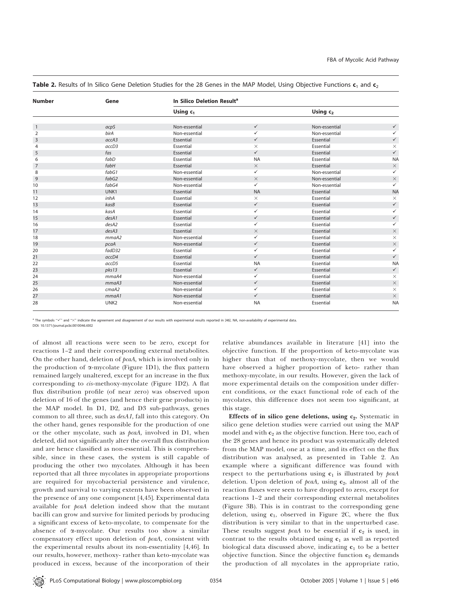| Number         | Gene             | In Silico Deletion Result <sup>a</sup> |              |               |              |  |
|----------------|------------------|----------------------------------------|--------------|---------------|--------------|--|
|                |                  | Using $c_1$                            |              | Using $c_2$   |              |  |
|                |                  |                                        |              |               |              |  |
| $\overline{1}$ | acpS             | Non-essential                          | $\checkmark$ | Non-essential | $\checkmark$ |  |
| 2              | birA             | Non-essential                          | $\checkmark$ | Non-essential | ✓            |  |
| 3              | accA3            | Essential                              | $\checkmark$ | Essential     | $\checkmark$ |  |
| 4              | accD3            | Essential                              | $\times$     | Essential     | $\times$     |  |
| 5              | fas              | Essential                              | $\checkmark$ | Essential     | $\checkmark$ |  |
| 6              | fabD             | Essential                              | <b>NA</b>    | Essential     | <b>NA</b>    |  |
| 7              | fabH             | Essential                              | $\times$     | Essential     | $\times$     |  |
| 8              | fabG1            | Non-essential                          | $\checkmark$ | Non-essential | $\checkmark$ |  |
| 9              | fabG2            | Non-essential                          | $\times$     | Non-essential | $\times$     |  |
| 10             | fabG4            | Non-essential                          | $\checkmark$ | Non-essential | $\checkmark$ |  |
| 11             | UNK1             | Essential                              | <b>NA</b>    | Essential     | <b>NA</b>    |  |
| 12             | inhA             | Essential                              | $\times$     | Essential     | $\times$     |  |
| 13             | $k$ as $B$       | Essential                              | $\checkmark$ | Essential     | $\checkmark$ |  |
| 14             | kasA             | Essential                              | $\checkmark$ | Essential     | ✓            |  |
| 15             | desA1            | Essential                              | $\checkmark$ | Essential     | $\checkmark$ |  |
| 16             | desA2            | Essential                              | ✓            | Essential     | ✓            |  |
| 17             | desA3            | Essential                              | $\times$     | Essential     | $\times$     |  |
| 18             | mmaA2            | Non-essential                          | ✓            | Essential     | $\times$     |  |
| 19             | pcaA             | Non-essential                          | $\checkmark$ | Essential     | $\times$     |  |
| 20             | fadD32           | Essential                              | ✓            | Essential     | ✓            |  |
| 21             | accD4            | Essential                              | $\checkmark$ | Essential     | $\checkmark$ |  |
| 22             | accD5            | Essential                              | <b>NA</b>    | Essential     | <b>NA</b>    |  |
| 23             | pks13            | Essential                              | $\checkmark$ | Essential     | $\checkmark$ |  |
| 24             | mmaA4            | Non-essential                          | ✓            | Essential     | $\times$     |  |
| 25             | mmaA3            | Non-essential                          | $\checkmark$ | Essential     | $\times$     |  |
| 26             | cmaA2            | Non-essential                          | $\checkmark$ | Essential     | $\times$     |  |
| 27             | mmaA1            | Non-essential                          | $\checkmark$ | Essential     | $\times$     |  |
| 28             | UNK <sub>2</sub> | Non-essential                          | <b>NA</b>    | Essential     | <b>NA</b>    |  |

Table 2. Results of In Silico Gene Deletion Studies for the 28 Genes in the MAP Model, Using Objective Functions  $c_1$  and  $c_2$ 

<sup>a</sup> The symbols "V" and "X" indicate the agreement and disagreement of our results with experimental results reported in [46]. NA, non-availability of experimental data.

DOI: 10.1371/journal.pcbi.0010046.t002

of almost all reactions were seen to be zero, except for reactions 1–2 and their corresponding external metabolites. On the other hand, deletion of pcaA, which is involved only in the production of  $\alpha$ -mycolate (Figure 1D1), the flux pattern remained largely unaltered, except for an increase in the flux corresponding to cis-methoxy-mycolate (Figure 1D2). A flat flux distribution profile (of near zero) was observed upon deletion of 16 of the genes (and hence their gene products) in the MAP model. In D1, D2, and D3 sub-pathways, genes common to all three, such as desA1, fall into this category. On the other hand, genes responsible for the production of one or the other mycolate, such as pcaA, involved in D1, when deleted, did not significantly alter the overall flux distribution and are hence classified as non-essential. This is comprehensible, since in these cases, the system is still capable of producing the other two mycolates. Although it has been reported that all three mycolates in appropriate proportions are required for mycobacterial persistence and virulence, growth and survival to varying extents have been observed in the presence of any one component [4,45]. Experimental data available for pcaA deletion indeed show that the mutant bacilli can grow and survive for limited periods by producing a significant excess of keto-mycolate, to compensate for the absence of a-mycolate. Our results too show a similar compensatory effect upon deletion of pcaA, consistent with the experimental results about its non-essentiality [4,46]. In our results, however, methoxy- rather than keto-mycolate was produced in excess, because of the incorporation of their

relative abundances available in literature [41] into the objective function. If the proportion of keto-mycolate was higher than that of methoxy-mycolate, then we would have observed a higher proportion of keto- rather than methoxy-mycolate, in our results. However, given the lack of more experimental details on the composition under different conditions, or the exact functional role of each of the mycolates, this difference does not seem too significant, at this stage.

Effects of in silico gene deletions, using  $c_2$ . Systematic in silico gene deletion studies were carried out using the MAP model and with  $c_2$  as the objective function. Here too, each of the 28 genes and hence its product was systematically deleted from the MAP model, one at a time, and its effect on the flux distribution was analysed, as presented in Table 2. An example where a significant difference was found with respect to the perturbations using  $c_1$  is illustrated by pcaA deletion. Upon deletion of  $pcaA$ , using  $c_2$ , almost all of the reaction fluxes were seen to have dropped to zero, except for reactions 1–2 and their corresponding external metabolites (Figure 3B). This is in contrast to the corresponding gene deletion, using  $c_1$ , observed in Figure 2C, where the flux distribution is very similar to that in the unperturbed case. These results suggest  $pcaA$  to be essential if  $c_2$  is used, in contrast to the results obtained using  $c_1$  as well as reported biological data discussed above, indicating  $c_1$  to be a better objective function. Since the objective function  $c_2$  demands the production of all mycolates in the appropriate ratio,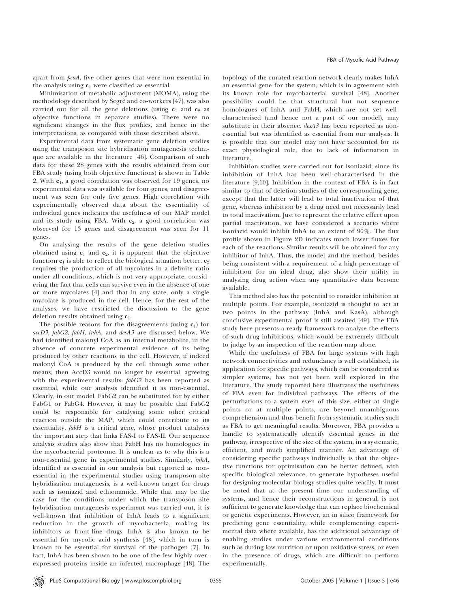apart from pcaA, five other genes that were non-essential in the analysis using  $c_1$  were classified as essential.

Minimisation of metabolic adjustment (MOMA), using the methodology described by Segre` and co-workers [47], was also carried out for all the gene deletions (using  $c_1$  and  $c_2$  as objective functions in separate studies). There were no significant changes in the flux profiles, and hence in the interpretations, as compared with those described above.

Experimental data from systematic gene deletion studies using the transposon site hybridisation mutagenesis technique are available in the literature [46]. Comparison of such data for these 28 genes with the results obtained from our FBA study (using both objective functions) is shown in Table 2. With  $c_1$ , a good correlation was observed for 19 genes, no experimental data was available for four genes, and disagreement was seen for only five genes. High correlation with experimentally observed data about the essentiality of individual genes indicates the usefulness of our MAP model and its study using FBA. With  $c_2$ , a good correlation was observed for 13 genes and disagreement was seen for 11 genes.

On analysing the results of the gene deletion studies obtained using  $c_1$  and  $c_2$ , it is apparent that the objective function  $c_1$  is able to reflect the biological situation better.  $c_2$ requires the production of all mycolates in a definite ratio under all conditions, which is not very appropriate, considering the fact that cells can survive even in the absence of one or more mycolates [4] and that in any state, only a single mycolate is produced in the cell. Hence, for the rest of the analyses, we have restricted the discussion to the gene deletion results obtained using  $c_1$ .

The possible reasons for the disagreements (using  $c_1$ ) for accD3, fabG2, fabH, inhA, and desA3 are discussed below. We had identified malonyl CoA as an internal metabolite, in the absence of concrete experimental evidence of its being produced by other reactions in the cell. However, if indeed malonyl CoA is produced by the cell through some other means, then AccD3 would no longer be essential, agreeing with the experimental results. *fabG2* has been reported as essential, while our analysis identified it as non-essential. Clearly, in our model, FabG2 can be substituted for by either FabG1 or FabG4. However, it may be possible that FabG2 could be responsible for catalysing some other critical reaction outside the MAP, which could contribute to its essentiality. fabH is a critical gene, whose product catalyses the important step that links FAS-I to FAS-II. Our sequence analysis studies also show that FabH has no homologues in the mycobacterial proteome. It is unclear as to why this is a non-essential gene in experimental studies. Similarly, inhA, identified as essential in our analysis but reported as nonessential in the experimental studies using transposon site hybridisation mutagenesis, is a well-known target for drugs such as isoniazid and ethionamide. While that may be the case for the conditions under which the transposon site hybridisation mutagenesis experiment was carried out, it is well-known that inhibition of InhA leads to a significant reduction in the growth of mycobacteria, making its inhibitors as front-line drugs. InhA is also known to be essential for mycolic acid synthesis [48], which in turn is known to be essential for survival of the pathogen [7]. In fact, InhA has been shown to be one of the few highly overexpressed proteins inside an infected macrophage [48]. The topology of the curated reaction network clearly makes InhA an essential gene for the system, which is in agreement with its known role for mycobacterial survival [48]. Another possibility could be that structural but not sequence homologues of InhA and FabH, which are not yet wellcharacterised (and hence not a part of our model), may substitute in their absence. desA3 has been reported as nonessential but was identified as essential from our analysis. It is possible that our model may not have accounted for its exact physiological role, due to lack of information in literature.

Inhibition studies were carried out for isoniazid, since its inhibition of InhA has been well-characterised in the literature [9,10]. Inhibition in the context of FBA is in fact similar to that of deletion studies of the corresponding gene, except that the latter will lead to total inactivation of that gene, whereas inhibition by a drug need not necessarily lead to total inactivation. Just to represent the relative effect upon partial inactivation, we have considered a scenario where isoniazid would inhibit InhA to an extent of 90%. The flux profile shown in Figure 2D indicates much lower fluxes for each of the reactions. Similar results will be obtained for any inhibitor of InhA. Thus, the model and the method, besides being consistent with a requirement of a high percentage of inhibition for an ideal drug, also show their utility in analysing drug action when any quantitative data become available.

This method also has the potential to consider inhibition at multiple points. For example, isoniazid is thought to act at two points in the pathway (InhA and KasA), although conclusive experimental proof is still awaited [49]. The FBA study here presents a ready framework to analyse the effects of such drug inhibitions, which would be extremely difficult to judge by an inspection of the reaction map alone.

While the usefulness of FBA for large systems with high network connectivities and redundancy is well established, its application for specific pathways, which can be considered as simpler systems, has not yet been well explored in the literature. The study reported here illustrates the usefulness of FBA even for individual pathways. The effects of the perturbations to a system even of this size, either at single points or at multiple points, are beyond unambiguous comprehension and thus benefit from systematic studies such as FBA to get meaningful results. Moreover, FBA provides a handle to systematically identify essential genes in the pathway, irrespective of the size of the system, in a systematic, efficient, and much simplified manner. An advantage of considering specific pathways individually is that the objective functions for optimisation can be better defined, with specific biological relevance, to generate hypotheses useful for designing molecular biology studies quite readily. It must be noted that at the present time our understanding of systems, and hence their reconstructions in general, is not sufficient to generate knowledge that can replace biochemical or genetic experiments. However, an in silico framework for predicting gene essentiality, while complementing experimental data where available, has the additional advantage of enabling studies under various environmental conditions such as during low nutrition or upon oxidative stress, or even in the presence of drugs, which are difficult to perform experimentally.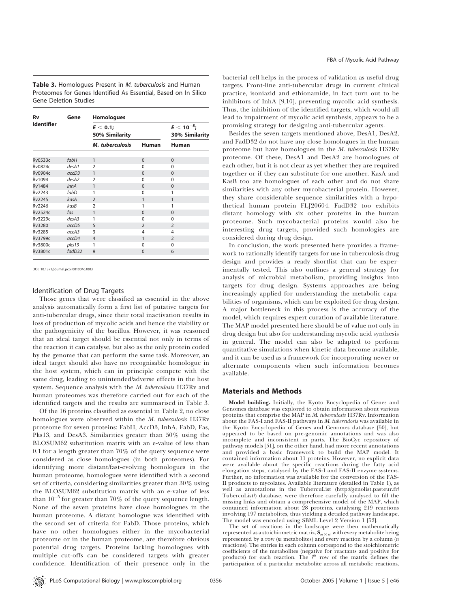Table 3. Homologues Present in M. tuberculosis and Human Proteomes for Genes Identified As Essential, Based on In Silico Gene Deletion Studies

| Rv                | Gene       | <b>Homologues</b>             |                                   |                |  |
|-------------------|------------|-------------------------------|-----------------------------------|----------------|--|
| <b>Identifier</b> |            | $E < 0.1$ ;<br>50% Similarity | $E < 10^{-5}$ ;<br>30% Similarity |                |  |
|                   |            | <b>M.</b> tuberculosis        | <b>Human</b>                      | <b>Human</b>   |  |
|                   |            |                               |                                   |                |  |
| <b>Rv0533c</b>    | fabH       | $\mathbf{1}$                  | $\Omega$                          | $\Omega$       |  |
| <b>Rv0824c</b>    | desA1      | $\mathcal{P}$                 | $\Omega$                          | $\Omega$       |  |
| <b>Rv0904c</b>    | accD3      | $\mathbf{1}$                  | $\Omega$                          | $\Omega$       |  |
| <b>Rv1094</b>     | desA2      | $\overline{2}$                | $\Omega$                          | $\Omega$       |  |
| <b>Rv1484</b>     | inhA       | 1                             | $\Omega$                          | $\Omega$       |  |
| Rv2243            | fabD       | 1                             | $\Omega$                          | 1              |  |
| <b>Rv2245</b>     | kasA       | $\overline{2}$                | 1                                 | 1              |  |
| Rv2246            | $k$ as $R$ | $\mathcal{P}$                 | 1                                 | 1              |  |
| <b>Rv2524c</b>    | fas        | 1                             | $\Omega$                          | $\Omega$       |  |
| <b>Rv3229c</b>    | desA3      | 1                             | $\Omega$                          | $\Omega$       |  |
| Rv3280            | accD5      | 5                             | $\overline{2}$                    | $\overline{2}$ |  |
| Rv3285            | accA3      | 3                             | 4                                 | 4              |  |
| <b>Rv3799c</b>    | accD4      | $\overline{4}$                | 1                                 | $\overline{2}$ |  |
| <b>Rv3800c</b>    | pks13      | 1                             | $\Omega$                          | $\Omega$       |  |
| Rv3801c           | fadD32     | 9                             | $\Omega$                          | 6              |  |
|                   |            |                               |                                   |                |  |

DOI: 10.1371/journal.pcbi.0010046.t003

#### Identification of Drug Targets

Those genes that were classified as essential in the above analysis automatically form a first list of putative targets for anti-tubercular drugs, since their total inactivation results in loss of production of mycolic acids and hence the viability or the pathogenicity of the bacillus. However, it was reasoned that an ideal target should be essential not only in terms of the reaction it can catalyse, but also as the only protein coded by the genome that can perform the same task. Moreover, an ideal target should also have no recognisable homologue in the host system, which can in principle compete with the same drug, leading to unintended/adverse effects in the host system. Sequence analysis with the *M. tuberculosis* H37Rv and human proteomes was therefore carried out for each of the identified targets and the results are summarised in Table 3.

Of the 16 proteins classified as essential in Table 2, no close homologues were observed within the M. tuberculosis H37Rv proteome for seven proteins: FabH, AccD3, InhA, FabD, Fas, Pks13, and DesA3. Similarities greater than 50% using the BLOSUM62 substitution matrix with an e-value of less than 0.1 for a length greater than 70% of the query sequence were considered as close homologues (in both proteomes). For identifying more distant/fast-evolving homologues in the human proteome, homologues were identified with a second set of criteria, considering similarities greater than 30% using the BLOSUM62 substitution matrix with an e-value of less than  $10^{-5}$  for greater than  $70\%$  of the query sequence length. None of the seven proteins have close homologues in the human proteome. A distant homologue was identified with the second set of criteria for FabD. Those proteins, which have no other homologues either in the mycobacterial proteome or in the human proteome, are therefore obvious potential drug targets. Proteins lacking homologues with multiple cut-offs can be considered targets with greater confidence. Identification of their presence only in the

bacterial cell helps in the process of validation as useful drug targets. Front-line anti-tubercular drugs in current clinical practice, isoniazid and ethionamide, in fact turn out to be inhibitors of InhA [9,10], preventing mycolic acid synthesis. Thus, the inhibition of the identified targets, which would all lead to impairment of mycolic acid synthesis, appears to be a promising strategy for designing anti-tubercular agents.

Besides the seven targets mentioned above, DesA1, DesA2, and FadD32 do not have any close homologues in the human proteome but have homologues in the M. tuberculosis H37Rv proteome. Of these, DesA1 and DesA2 are homologues of each other, but it is not clear as yet whether they are required together or if they can substitute for one another. KasA and KasB too are homologues of each other and do not share similarities with any other mycobacterial protein. However, they share considerable sequence similarities with a hypothetical human protein FLJ20604. FadD32 too exhibits distant homology with six other proteins in the human proteome. Such mycobacterial proteins would also be interesting drug targets, provided such homologies are considered during drug design.

In conclusion, the work presented here provides a framework to rationally identify targets for use in tuberculosis drug design and provides a ready shortlist that can be experimentally tested. This also outlines a general strategy for analysis of microbial metabolism, providing insights into targets for drug design. Systems approaches are being increasingly applied for understanding the metabolic capabilities of organisms, which can be exploited for drug design. A major bottleneck in this process is the accuracy of the model, which requires expert curation of available literature. The MAP model presented here should be of value not only in drug design but also for understanding mycolic acid synthesis in general. The model can also be adapted to perform quantitative simulations when kinetic data become available, and it can be used as a framework for incorporating newer or alternate components when such information becomes available.

#### Materials and Methods

Model building. Initially, the Kyoto Encyclopedia of Genes and Genomes database was explored to obtain information about various proteins that comprise the MAP in M. tuberculosis H37Rv. Information about the FAS-I and FAS-II pathways in M. tuberculosis was available in the Kyoto Encyclopedia of Genes and Genomes database [50], but appeared to be based on pre-genomic annotations and was also incomplete and inconsistent in parts. The BioCyc repository of pathway models [51], on the other hand, had more recent annotations and provided a basic framework to build the MAP model. It contained information about 11 proteins. However, no explicit data were available about the specific reactions during the fatty acid elongation steps, catalysed by the FAS-I and FAS-II enzyme systems. Further, no information was available for the conversion of the FAS-II products to mycolates. Available literature (detailed in Table 1), as well as annotations in the TubercuList (http://genolist.pasteur.fr/ TubercuList/) database, were therefore carefully analysed to fill the missing links and obtain a comprehensive model of the MAP, which contained information about 28 proteins, catalysing 219 reactions involving 197 metabolites, thus yielding a detailed pathway landscape. The model was encoded using SBML Level 2 Version 1 [52].

The set of reactions in the landscape were then mathematically represented as a stoichiometric matrix,  $S_{m\times n}$ , with every metabolite being represented by a row  $(m \text{ metabolites})$  and every reaction by a column  $(n \text{ elements})$ reactions). The entries in each column correspond to the stoichiometric coefficients of the metabolites (negative for reactants and positive for products) for each reaction. The  $i^{th}$  row of the matrix defines the participation of a particular metabolite across all metabolic reactions,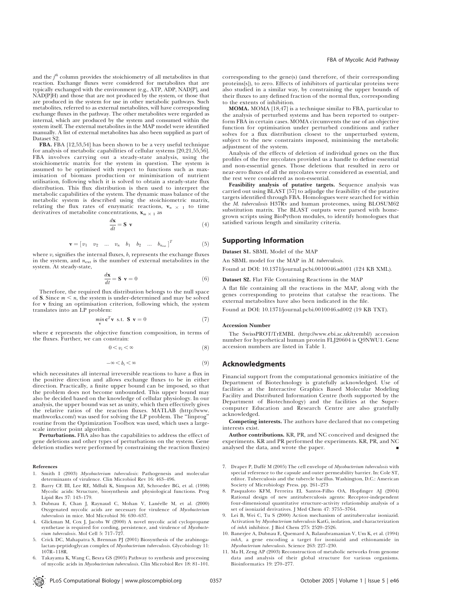and the  $j^{\text{th}}$  column provides the stoichiometry of all metabolites in that reaction. Exchange fluxes were considered for metabolites that are typically exchanged with the environment (e.g., ATP, ADP, NAD[P], and NAD[P]H) and those that are not produced by the system, or those that are produced in the system for use in other metabolic pathways. Such metabolites, referred to as external metabolites, will have corresponding exchange fluxes in the pathway. The other metabolites were regarded as internal, which are produced by the system and consumed within the system itself. The external metabolites in the MAP model were identified manually. A list of external metabolites has also been supplied as part of Dataset S2.

FBA. FBA [12,53,54] has been shown to be a very useful technique for analysis of metabolic capabilities of cellular systems [20,21,55,56]. FBA involves carrying out a steady-state analysis, using the stoichiometric matrix for the system in question. The system is assumed to be optimised with respect to functions such as maximisation of biomass production or minimisation of nutrient utilisation, following which it is solved to obtain a steady-state flux distribution. This flux distribution is then used to interpret the metabolic capabilities of the system. The dynamic mass balance of the metabolic system is described using the stoichiometric matrix, relating the flux rates of enzymatic reactions,  $\mathbf{v}_{n} \times$  1 to time derivatives of metabolite concentrations,  $\mathbf{x}_m \times 1$  as

$$
\frac{d\mathbf{x}}{dt} = \mathbf{S} \ \mathbf{v} \tag{4}
$$

$$
\mathbf{v} = \begin{bmatrix} v_1 & v_2 & \dots & v_n & b_1 & b_2 & \dots & b_{n_{\text{ext}}} \end{bmatrix}^T
$$
 (5)

where  $v_i$  signifies the internal fluxes,  $b_i$  represents the exchange fluxes in the system, and  $n_{\text{ext}}$  is the number of external metabolites in the system. At steady-state,

$$
\frac{d\mathbf{x}}{dt} = \mathbf{S} \ \mathbf{v} = 0 \tag{6}
$$

Therefore, the required flux distribution belongs to the null space of S. Since  $m \le n$ , the system is under-determined and may be solved for v fixing an optimisation criterion, following which, the system translates into an LP problem:

$$
\min_{\mathbf{v}} \mathbf{c}^T \mathbf{v} \text{ s.t. } \mathbf{S} \mathbf{v} = 0 \tag{7}
$$

where c represents the objective function composition, in terms of the fluxes. Further, we can constrain:

$$
0 < v_i < \infty \tag{8}
$$

$$
-\infty  (9)
$$

which necessitates all internal irreversible reactions to have a flux in the positive direction and allows exchange fluxes to be in either direction. Practically, a finite upper bound can be imposed, so that the problem does not become unbounded. This upper bound may also be decided based on the knowledge of cellular physiology. In our analysis, the upper bound was set as unity, which then effectively gives the relative ratios of the reaction fluxes. MATLAB (http://www. mathworks.com/) was used for solving the LP problem. The ''linprog'' routine from the Optimization Toolbox was used, which uses a largescale interior point algorithm.

Perturbations. FBA also has the capabilities to address the effect of gene deletions and other types of perturbations on the system. Gene deletion studies were performed by constraining the reaction flux(es)

#### References

- 1. Smith I (2003) Mycobacterium tuberculosis: Pathogenesis and molecular determinants of virulence. Clin Microbiol Rev 16: 463–496.
- 2. Barry CE III, Lee RE, Mdluli K, Simpson AE, Schroeder BG, et al. (1998) Mycolic acids: Structure, biosynthesis and physiological functions. Prog Lipid Res 37: 143–179.
- 3. Dubnau E, Chan J, Raynaud C, Mohan V, Lanéelle M, et al. (2000) Oxygenated mycolic acids are necessary for virulence of Mycobacterium tuberculosis in mice. Mol Microbiol 36: 630–637.
- 4. Glickman M, Cox J, Jacobs W (2000) A novel mycolic acid cyclopropane synthetase is required for cording, persistence, and virulence of Mycobacterium tuberculosis. Mol Cell 5: 717–727.
- 5. Crick DC, Mahapatra S, Brennan PJ (2001) Biosynthesis of the arabinogalactan-peptidoglycan complex of Mycobacterium tuberculosis. Glycobiology 11: 107R–118R.
- 6. Takayama K, Wang C, Besra GS (2005) Pathway to synthesis and processing of mycolic acids in Mycobacterium tuberculosis. Clin Microbiol Rev 18: 81–101.

corresponding to the gene(s) (and therefore, of their corresponding proteins[s]), to zero. Effects of inhibitors of particular proteins were also studied in a similar way, by constraining the upper bounds of their fluxes to any defined fraction of the normal flux, corresponding to the extents of inhibition.

MOMA. MOMA [18,47] is a technique similar to FBA, particular to the analysis of perturbed systems and has been reported to outperform FBA in certain cases. MOMA circumvents the use of an objective function for optimisation under perturbed conditions and rather solves for a flux distribution closest to the unperturbed system, subject to the new constraints imposed, minimising the metabolic adjustment of the system.

Analysis of the effects of deletion of individual genes on the flux profiles of the five mycolates provided us a handle to define essential and non-essential genes. Those deletions that resulted in zero or near-zero fluxes of all the mycolates were considered as essential, and the rest were considered as non-essential.

Feasibility analysis of putative targets. Sequence analysis was carried out using BLAST [57] to adjudge the feasibility of the putative targets identified through FBA. Homologues were searched for within the M. tuberculosis H37Rv and human proteomes, using BLOSUM62 substitution matrix. The BLAST outputs were parsed with homegrown scripts using BioPython modules, to identify homologues that satisfied various length and similarity criteria.

## Supporting Information

Dataset S1. SBML Model of the MAP

An SBML model for the MAP in M. tuberculosis.

Found at DOI: 10.1371/journal.pcbi.0010046.sd001 (124 KB XML).

Dataset S2. Flat File Containing Reactions in the MAP

A flat file containing all the reactions in the MAP, along with the genes corresponding to proteins that catalyse the reactions. The external metabolites have also been indicated in the file.

Found at DOI: 10.1371/journal.pcbi.0010046.sd002 (19 KB TXT).

#### Accession Number

The SwissPROT/TrEMBL (http://www.ebi.ac.uk/trembl/) accession number for hypothetical human protein FLJ20604 is Q9NWU1. Gene accession numbers are listed in Table 1.

# Acknowledgments

Financial support from the computational genomics initiative of the Department of Biotechnology is gratefully acknowledged. Use of facilities at the Interactive Graphics Based Molecular Modeling Facility and Distributed Information Centre (both supported by the Department of Biotechnology) and the facilities at the Supercomputer Education and Research Centre are also gratefully acknowledged.

Competing interests. The authors have declared that no competing interests exist.

Author contributions. KR, PR, and NC conceived and designed the experiments. KR and PR performed the experiments. KR, PR, and NC analysed the data, and wrote the paper.

- 7. Draper P, Daffé M (2005) The cell envelope of Mycobacterium tuberculosis with special reference to the capsule and outer permeability barrier. In: Cole ST, editor. Tuberculosis and the tubercle bacillus. Washington, D.C.: American Society of Microbiology Press. pp. 261–273
- 8. Pasqualoto KFM, Ferreira EI, Santos-Filho OA, Hopfinger AJ (2004) Rational design of new antituberculosis agents: Receptor-independent four-dimensional quantitative structure-activity relationship analysis of a set of isoniazid derivatives. J Med Chem 47: 3755–3764.
- 9. Lei B, Wei C, Tu S (2000) Action mechanism of antitubercular isoniazid. Activation by Mycobacterium tuberculosis KatG, isolation, and characterization of inhA inhibitor. J Biol Chem 275: 2520–2526.
- 10. Banerjee A, Dubnau E, Quemard A, Balasubramanian V, Um K, et al. (1994) inhA, a gene encoding a target for isoniazid and ethionamide in Mycobacterium tuberculosis. Science 263: 227–230.
- 11. Ma H, Zeng AP (2003) Reconstruction of metabolic networks from genome data and analysis of their global structure for various organisms. Bioinformatics 19: 270–277.